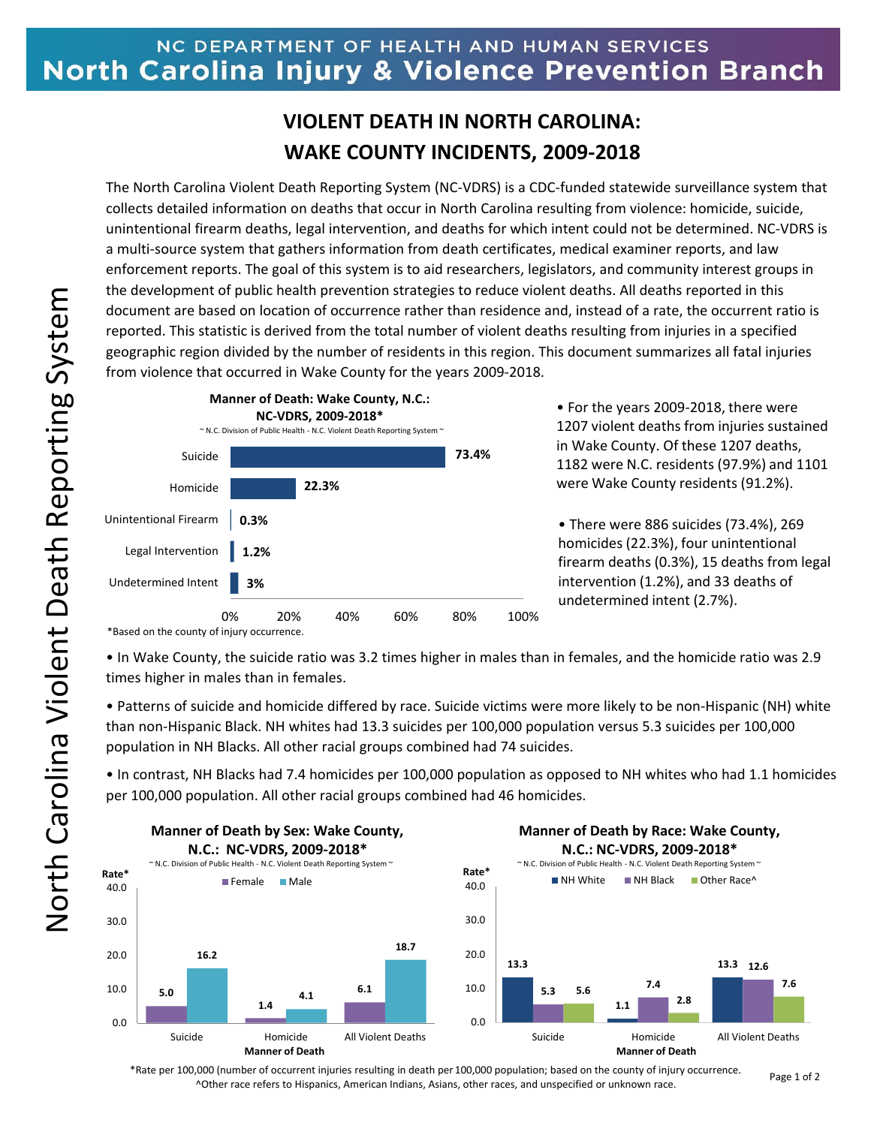## NC DEPARTMENT OF HEALTH AND HUMAN SERVICES **North Carolina Injury & Violence Prevention Branch**

## **VIOLENT DEATH IN NORTH CAROLINA: WAKE COUNTY INCIDENTS, 2009-2018**

The North Carolina Violent Death Reporting System (NC-VDRS) is a CDC-funded statewide surveillance system that collects detailed information on deaths that occur in North Carolina resulting from violence: homicide, suicide, unintentional firearm deaths, legal intervention, and deaths for which intent could not be determined. NC-VDRS is a multi-source system that gathers information from death certificates, medical examiner reports, and law enforcement reports. The goal of this system is to aid researchers, legislators, and community interest groups in the development of public health prevention strategies to reduce violent deaths. All deaths reported in this document are based on location of occurrence rather than residence and, instead of a rate, the occurrent ratio is reported. This statistic is derived from the total number of violent deaths resulting from injuries in a specified geographic region divided by the number of residents in this region. This document summarizes all fatal injuries from violence that occurred in Wake County for the years 2009-2018.



• For the years 2009-2018, there were 1207 violent deaths from injuries sustained in Wake County. Of these 1207 deaths, 1182 were N.C. residents (97.9%) and 1101 were Wake County residents (91.2%).

• There were 886 suicides (73.4%), 269 homicides (22.3%), four unintentional firearm deaths (0.3%), 15 deaths from legal intervention (1.2%), and 33 deaths of undetermined intent (2.7%).

\*Based on the county of injury occurrence.

• In Wake County, the suicide ratio was 3.2 times higher in males than in females, and the homicide ratio was 2.9 times higher in males than in females.

• Patterns of suicide and homicide differed by race. Suicide victims were more likely to be non-Hispanic (NH) white than non-Hispanic Black. NH whites had 13.3 suicides per 100,000 population versus 5.3 suicides per 100,000 population in NH Blacks. All other racial groups combined had 74 suicides.

• In contrast, NH Blacks had 7.4 homicides per 100,000 population as opposed to NH whites who had 1.1 homicides per 100,000 population. All other racial groups combined had 46 homicides.



\*Rate per 100,000 (number of occurrent injuries resulting in death per 100,000 population; based on the county of injury occurrence. ^Other race refers to Hispanics, American Indians, Asians, other races, and unspecified or unknown race.